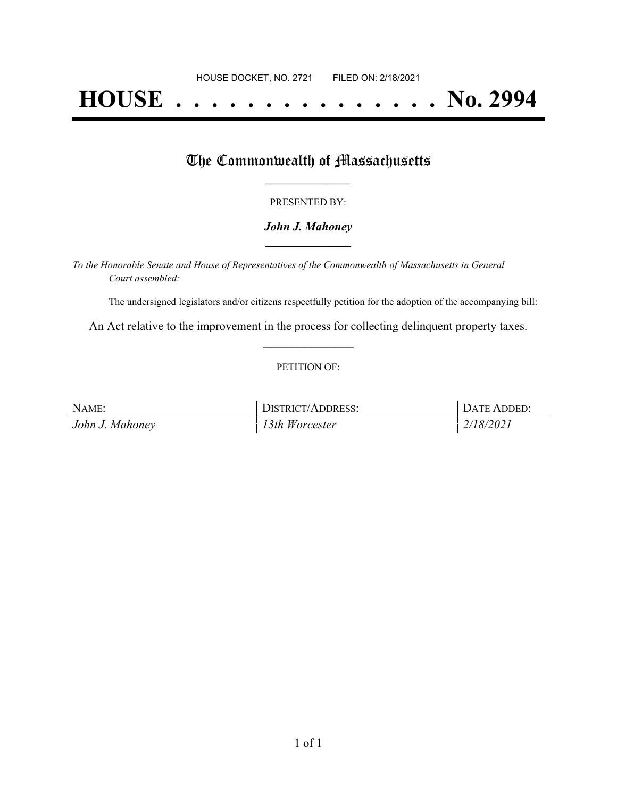# **HOUSE . . . . . . . . . . . . . . . No. 2994**

## The Commonwealth of Massachusetts

## PRESENTED BY:

## *John J. Mahoney* **\_\_\_\_\_\_\_\_\_\_\_\_\_\_\_\_\_**

*To the Honorable Senate and House of Representatives of the Commonwealth of Massachusetts in General Court assembled:*

The undersigned legislators and/or citizens respectfully petition for the adoption of the accompanying bill:

An Act relative to the improvement in the process for collecting delinquent property taxes. **\_\_\_\_\_\_\_\_\_\_\_\_\_\_\_**

### PETITION OF:

| NAME:           | <b>DISTRICT/ADDRESS:</b> | DATE ADDED: |
|-----------------|--------------------------|-------------|
| John J. Mahoney | 13th Worcester           | 2/18/2021   |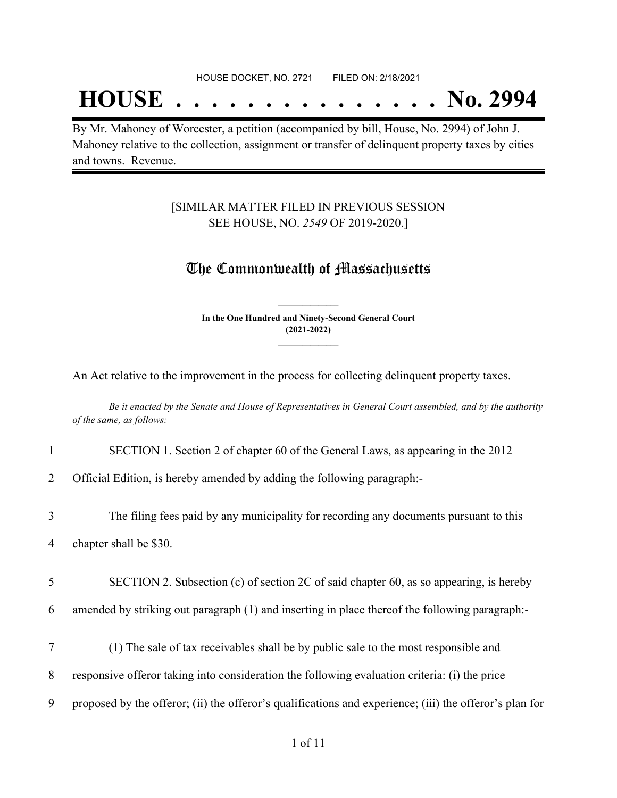## **HOUSE . . . . . . . . . . . . . . . No. 2994**

By Mr. Mahoney of Worcester, a petition (accompanied by bill, House, No. 2994) of John J. Mahoney relative to the collection, assignment or transfer of delinquent property taxes by cities and towns. Revenue.

## [SIMILAR MATTER FILED IN PREVIOUS SESSION SEE HOUSE, NO. *2549* OF 2019-2020.]

## The Commonwealth of Massachusetts

**In the One Hundred and Ninety-Second General Court (2021-2022) \_\_\_\_\_\_\_\_\_\_\_\_\_\_\_**

**\_\_\_\_\_\_\_\_\_\_\_\_\_\_\_**

An Act relative to the improvement in the process for collecting delinquent property taxes.

Be it enacted by the Senate and House of Representatives in General Court assembled, and by the authority *of the same, as follows:*

## 1 SECTION 1. Section 2 of chapter 60 of the General Laws, as appearing in the 2012

2 Official Edition, is hereby amended by adding the following paragraph:-

3 The filing fees paid by any municipality for recording any documents pursuant to this 4 chapter shall be \$30.

5 SECTION 2. Subsection (c) of section 2C of said chapter 60, as so appearing, is hereby

6 amended by striking out paragraph (1) and inserting in place thereof the following paragraph:-

- 7 (1) The sale of tax receivables shall be by public sale to the most responsible and
- 8 responsive offeror taking into consideration the following evaluation criteria: (i) the price
- 9 proposed by the offeror; (ii) the offeror's qualifications and experience; (iii) the offeror's plan for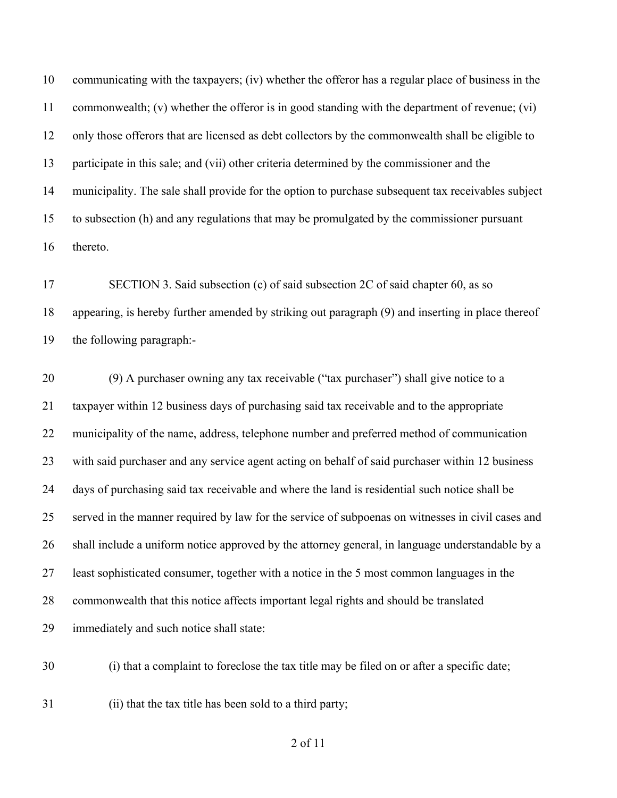communicating with the taxpayers; (iv) whether the offeror has a regular place of business in the commonwealth; (v) whether the offeror is in good standing with the department of revenue; (vi) only those offerors that are licensed as debt collectors by the commonwealth shall be eligible to participate in this sale; and (vii) other criteria determined by the commissioner and the municipality. The sale shall provide for the option to purchase subsequent tax receivables subject to subsection (h) and any regulations that may be promulgated by the commissioner pursuant thereto.

 SECTION 3. Said subsection (c) of said subsection 2C of said chapter 60, as so appearing, is hereby further amended by striking out paragraph (9) and inserting in place thereof the following paragraph:-

 (9) A purchaser owning any tax receivable ("tax purchaser") shall give notice to a taxpayer within 12 business days of purchasing said tax receivable and to the appropriate municipality of the name, address, telephone number and preferred method of communication with said purchaser and any service agent acting on behalf of said purchaser within 12 business days of purchasing said tax receivable and where the land is residential such notice shall be served in the manner required by law for the service of subpoenas on witnesses in civil cases and shall include a uniform notice approved by the attorney general, in language understandable by a least sophisticated consumer, together with a notice in the 5 most common languages in the commonwealth that this notice affects important legal rights and should be translated immediately and such notice shall state:

(i) that a complaint to foreclose the tax title may be filed on or after a specific date;

(ii) that the tax title has been sold to a third party;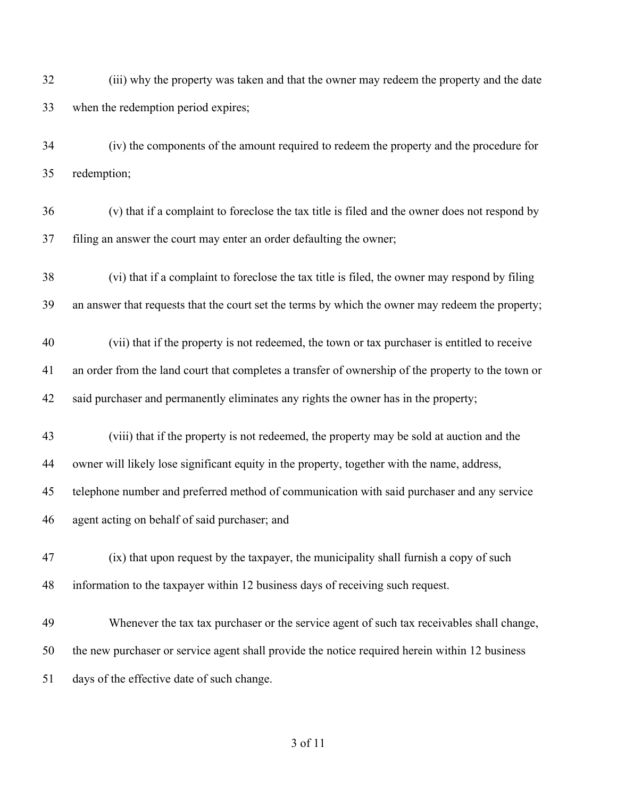(iii) why the property was taken and that the owner may redeem the property and the date when the redemption period expires;

 (iv) the components of the amount required to redeem the property and the procedure for redemption;

- (v) that if a complaint to foreclose the tax title is filed and the owner does not respond by filing an answer the court may enter an order defaulting the owner;
- (vi) that if a complaint to foreclose the tax title is filed, the owner may respond by filing an answer that requests that the court set the terms by which the owner may redeem the property;

 (vii) that if the property is not redeemed, the town or tax purchaser is entitled to receive an order from the land court that completes a transfer of ownership of the property to the town or said purchaser and permanently eliminates any rights the owner has in the property;

(viii) that if the property is not redeemed, the property may be sold at auction and the

owner will likely lose significant equity in the property, together with the name, address,

telephone number and preferred method of communication with said purchaser and any service

agent acting on behalf of said purchaser; and

 (ix) that upon request by the taxpayer, the municipality shall furnish a copy of such information to the taxpayer within 12 business days of receiving such request.

 Whenever the tax tax purchaser or the service agent of such tax receivables shall change, the new purchaser or service agent shall provide the notice required herein within 12 business days of the effective date of such change.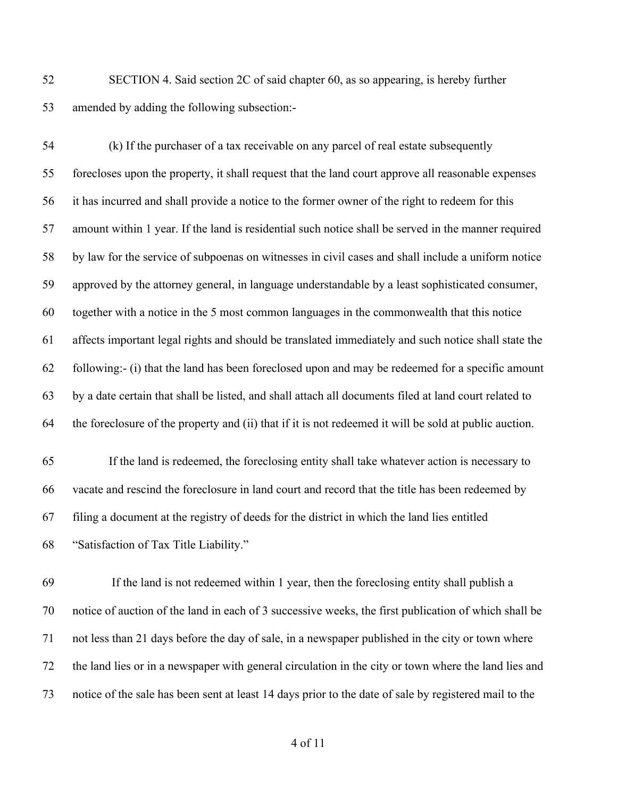SECTION 4. Said section 2C of said chapter 60, as so appearing, is hereby further amended by adding the following subsection:-

 (k) If the purchaser of a tax receivable on any parcel of real estate subsequently forecloses upon the property, it shall request that the land court approve all reasonable expenses it has incurred and shall provide a notice to the former owner of the right to redeem for this amount within 1 year. If the land is residential such notice shall be served in the manner required by law for the service of subpoenas on witnesses in civil cases and shall include a uniform notice approved by the attorney general, in language understandable by a least sophisticated consumer, together with a notice in the 5 most common languages in the commonwealth that this notice affects important legal rights and should be translated immediately and such notice shall state the following:- (i) that the land has been foreclosed upon and may be redeemed for a specific amount by a date certain that shall be listed, and shall attach all documents filed at land court related to the foreclosure of the property and (ii) that if it is not redeemed it will be sold at public auction.

 If the land is redeemed, the foreclosing entity shall take whatever action is necessary to vacate and rescind the foreclosure in land court and record that the title has been redeemed by filing a document at the registry of deeds for the district in which the land lies entitled "Satisfaction of Tax Title Liability."

 If the land is not redeemed within 1 year, then the foreclosing entity shall publish a notice of auction of the land in each of 3 successive weeks, the first publication of which shall be not less than 21 days before the day of sale, in a newspaper published in the city or town where the land lies or in a newspaper with general circulation in the city or town where the land lies and notice of the sale has been sent at least 14 days prior to the date of sale by registered mail to the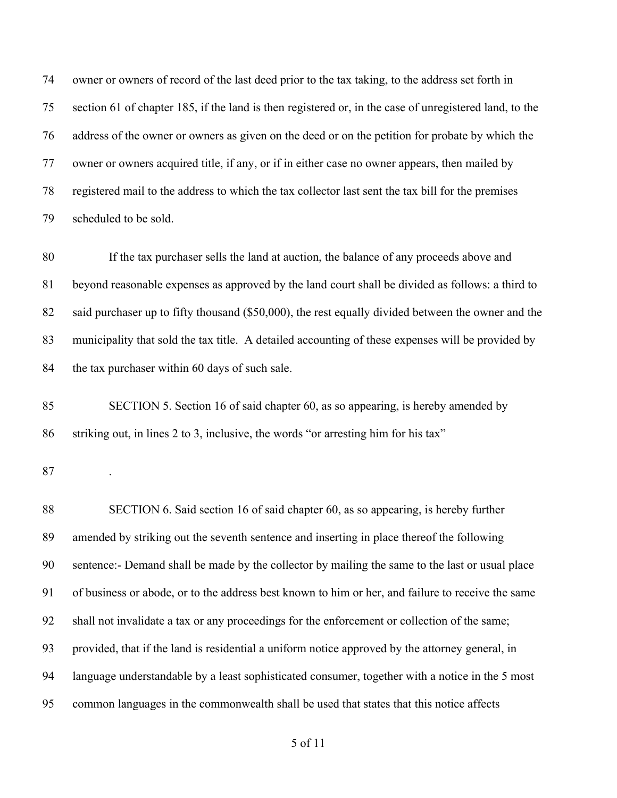owner or owners of record of the last deed prior to the tax taking, to the address set forth in section 61 of chapter 185, if the land is then registered or, in the case of unregistered land, to the address of the owner or owners as given on the deed or on the petition for probate by which the owner or owners acquired title, if any, or if in either case no owner appears, then mailed by registered mail to the address to which the tax collector last sent the tax bill for the premises scheduled to be sold.

 If the tax purchaser sells the land at auction, the balance of any proceeds above and beyond reasonable expenses as approved by the land court shall be divided as follows: a third to 82 said purchaser up to fifty thousand (\$50,000), the rest equally divided between the owner and the municipality that sold the tax title. A detailed accounting of these expenses will be provided by 84 the tax purchaser within 60 days of such sale.

 SECTION 5. Section 16 of said chapter 60, as so appearing, is hereby amended by striking out, in lines 2 to 3, inclusive, the words "or arresting him for his tax"

.

 SECTION 6. Said section 16 of said chapter 60, as so appearing, is hereby further amended by striking out the seventh sentence and inserting in place thereof the following sentence:- Demand shall be made by the collector by mailing the same to the last or usual place of business or abode, or to the address best known to him or her, and failure to receive the same shall not invalidate a tax or any proceedings for the enforcement or collection of the same; provided, that if the land is residential a uniform notice approved by the attorney general, in language understandable by a least sophisticated consumer, together with a notice in the 5 most common languages in the commonwealth shall be used that states that this notice affects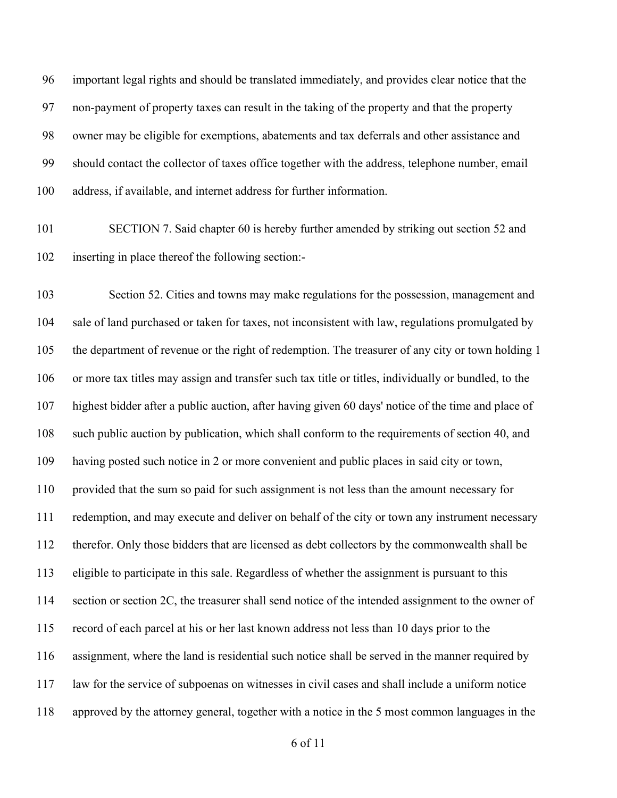important legal rights and should be translated immediately, and provides clear notice that the non-payment of property taxes can result in the taking of the property and that the property owner may be eligible for exemptions, abatements and tax deferrals and other assistance and should contact the collector of taxes office together with the address, telephone number, email address, if available, and internet address for further information.

 SECTION 7. Said chapter 60 is hereby further amended by striking out section 52 and inserting in place thereof the following section:-

 Section 52. Cities and towns may make regulations for the possession, management and sale of land purchased or taken for taxes, not inconsistent with law, regulations promulgated by the department of revenue or the right of redemption. The treasurer of any city or town holding 1 or more tax titles may assign and transfer such tax title or titles, individually or bundled, to the highest bidder after a public auction, after having given 60 days' notice of the time and place of such public auction by publication, which shall conform to the requirements of section 40, and having posted such notice in 2 or more convenient and public places in said city or town, provided that the sum so paid for such assignment is not less than the amount necessary for redemption, and may execute and deliver on behalf of the city or town any instrument necessary therefor. Only those bidders that are licensed as debt collectors by the commonwealth shall be eligible to participate in this sale. Regardless of whether the assignment is pursuant to this section or section 2C, the treasurer shall send notice of the intended assignment to the owner of record of each parcel at his or her last known address not less than 10 days prior to the assignment, where the land is residential such notice shall be served in the manner required by law for the service of subpoenas on witnesses in civil cases and shall include a uniform notice approved by the attorney general, together with a notice in the 5 most common languages in the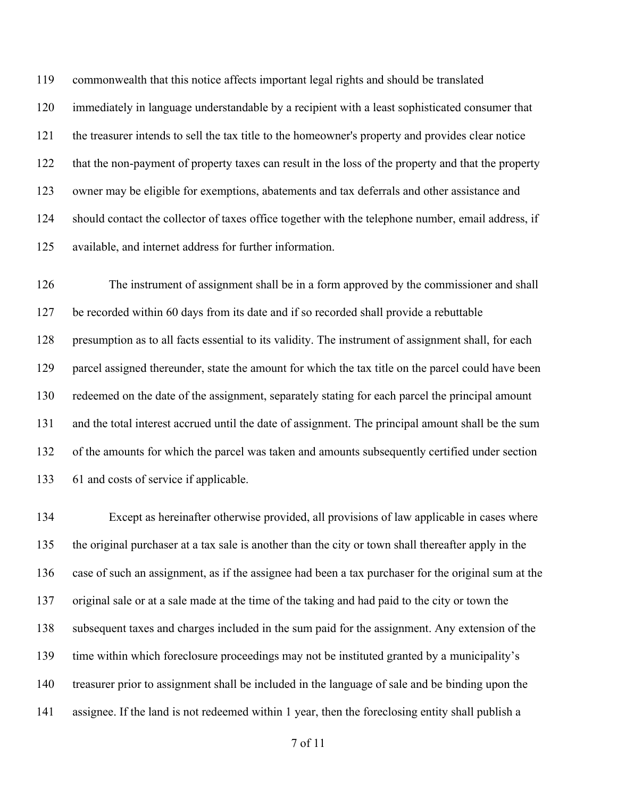commonwealth that this notice affects important legal rights and should be translated immediately in language understandable by a recipient with a least sophisticated consumer that the treasurer intends to sell the tax title to the homeowner's property and provides clear notice that the non-payment of property taxes can result in the loss of the property and that the property owner may be eligible for exemptions, abatements and tax deferrals and other assistance and should contact the collector of taxes office together with the telephone number, email address, if available, and internet address for further information.

 The instrument of assignment shall be in a form approved by the commissioner and shall be recorded within 60 days from its date and if so recorded shall provide a rebuttable presumption as to all facts essential to its validity. The instrument of assignment shall, for each parcel assigned thereunder, state the amount for which the tax title on the parcel could have been redeemed on the date of the assignment, separately stating for each parcel the principal amount and the total interest accrued until the date of assignment. The principal amount shall be the sum of the amounts for which the parcel was taken and amounts subsequently certified under section 61 and costs of service if applicable.

 Except as hereinafter otherwise provided, all provisions of law applicable in cases where the original purchaser at a tax sale is another than the city or town shall thereafter apply in the case of such an assignment, as if the assignee had been a tax purchaser for the original sum at the original sale or at a sale made at the time of the taking and had paid to the city or town the subsequent taxes and charges included in the sum paid for the assignment. Any extension of the time within which foreclosure proceedings may not be instituted granted by a municipality's treasurer prior to assignment shall be included in the language of sale and be binding upon the assignee. If the land is not redeemed within 1 year, then the foreclosing entity shall publish a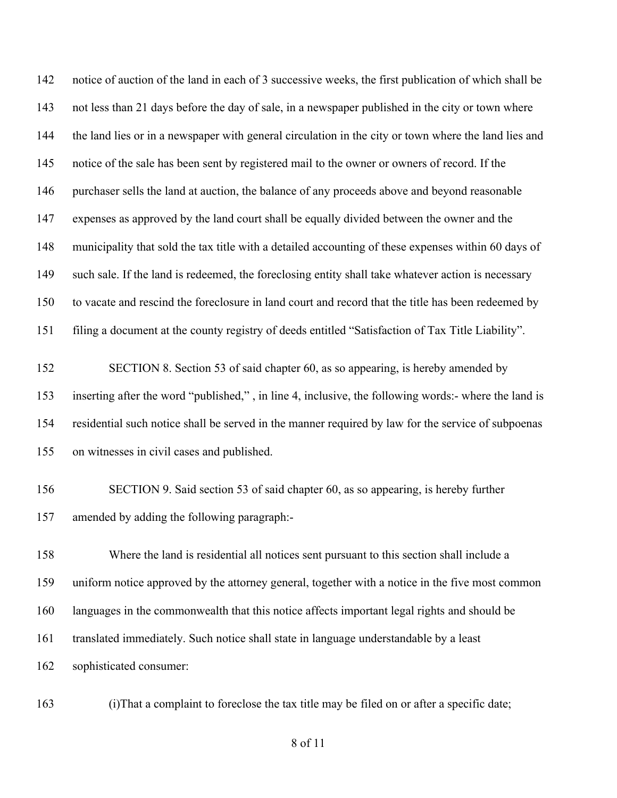notice of auction of the land in each of 3 successive weeks, the first publication of which shall be not less than 21 days before the day of sale, in a newspaper published in the city or town where the land lies or in a newspaper with general circulation in the city or town where the land lies and notice of the sale has been sent by registered mail to the owner or owners of record. If the purchaser sells the land at auction, the balance of any proceeds above and beyond reasonable expenses as approved by the land court shall be equally divided between the owner and the municipality that sold the tax title with a detailed accounting of these expenses within 60 days of such sale. If the land is redeemed, the foreclosing entity shall take whatever action is necessary to vacate and rescind the foreclosure in land court and record that the title has been redeemed by filing a document at the county registry of deeds entitled "Satisfaction of Tax Title Liability".

- SECTION 8. Section 53 of said chapter 60, as so appearing, is hereby amended by inserting after the word "published," , in line 4, inclusive, the following words:- where the land is residential such notice shall be served in the manner required by law for the service of subpoenas on witnesses in civil cases and published.
- SECTION 9. Said section 53 of said chapter 60, as so appearing, is hereby further amended by adding the following paragraph:-

 Where the land is residential all notices sent pursuant to this section shall include a uniform notice approved by the attorney general, together with a notice in the five most common languages in the commonwealth that this notice affects important legal rights and should be translated immediately. Such notice shall state in language understandable by a least sophisticated consumer:

(i)That a complaint to foreclose the tax title may be filed on or after a specific date;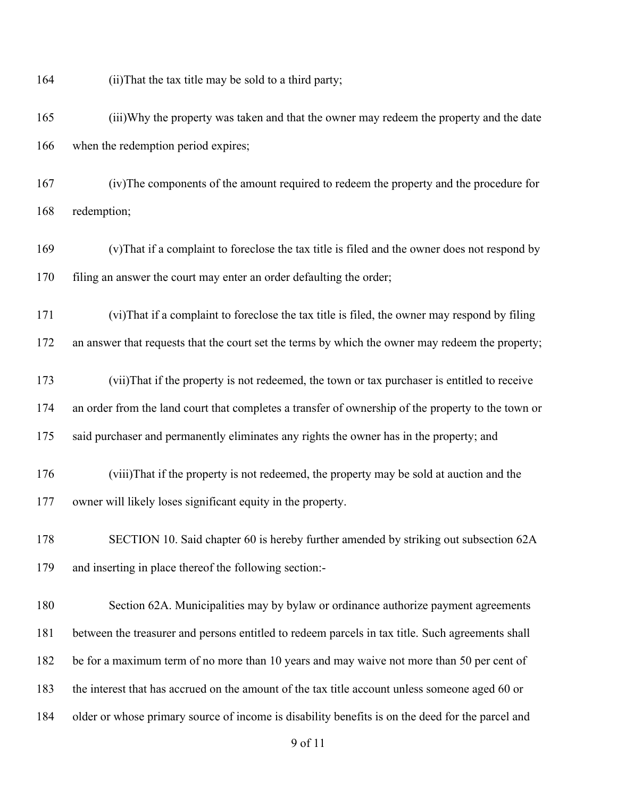(ii)That the tax title may be sold to a third party;

 (iii)Why the property was taken and that the owner may redeem the property and the date when the redemption period expires;

 (iv)The components of the amount required to redeem the property and the procedure for redemption;

 (v)That if a complaint to foreclose the tax title is filed and the owner does not respond by 170 filing an answer the court may enter an order defaulting the order;

(vi)That if a complaint to foreclose the tax title is filed, the owner may respond by filing

172 an answer that requests that the court set the terms by which the owner may redeem the property;

 (vii)That if the property is not redeemed, the town or tax purchaser is entitled to receive an order from the land court that completes a transfer of ownership of the property to the town or 175 said purchaser and permanently eliminates any rights the owner has in the property; and

 (viii)That if the property is not redeemed, the property may be sold at auction and the owner will likely loses significant equity in the property.

 SECTION 10. Said chapter 60 is hereby further amended by striking out subsection 62A and inserting in place thereof the following section:-

 Section 62A. Municipalities may by bylaw or ordinance authorize payment agreements between the treasurer and persons entitled to redeem parcels in tax title. Such agreements shall be for a maximum term of no more than 10 years and may waive not more than 50 per cent of the interest that has accrued on the amount of the tax title account unless someone aged 60 or older or whose primary source of income is disability benefits is on the deed for the parcel and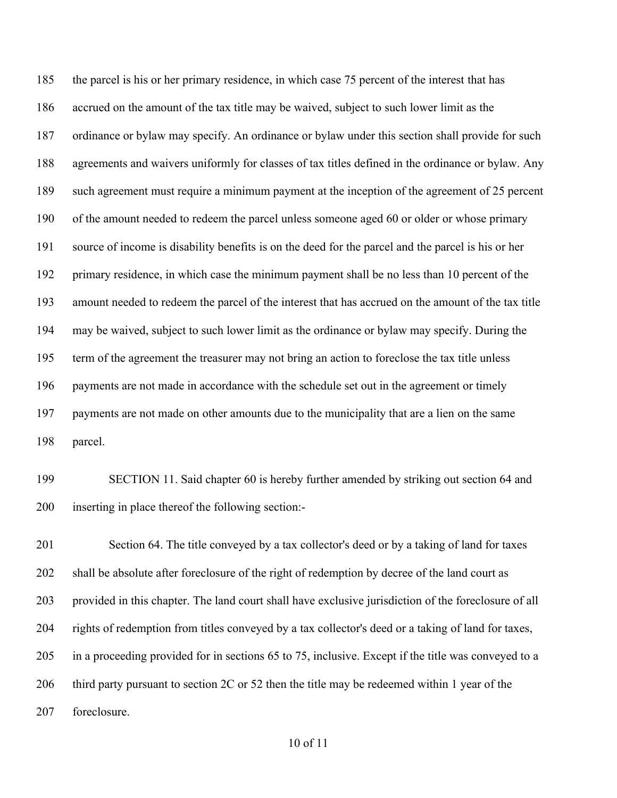185 the parcel is his or her primary residence, in which case 75 percent of the interest that has accrued on the amount of the tax title may be waived, subject to such lower limit as the ordinance or bylaw may specify. An ordinance or bylaw under this section shall provide for such agreements and waivers uniformly for classes of tax titles defined in the ordinance or bylaw. Any such agreement must require a minimum payment at the inception of the agreement of 25 percent of the amount needed to redeem the parcel unless someone aged 60 or older or whose primary source of income is disability benefits is on the deed for the parcel and the parcel is his or her primary residence, in which case the minimum payment shall be no less than 10 percent of the amount needed to redeem the parcel of the interest that has accrued on the amount of the tax title may be waived, subject to such lower limit as the ordinance or bylaw may specify. During the term of the agreement the treasurer may not bring an action to foreclose the tax title unless 196 payments are not made in accordance with the schedule set out in the agreement or timely payments are not made on other amounts due to the municipality that are a lien on the same parcel.

 SECTION 11. Said chapter 60 is hereby further amended by striking out section 64 and inserting in place thereof the following section:-

 Section 64. The title conveyed by a tax collector's deed or by a taking of land for taxes shall be absolute after foreclosure of the right of redemption by decree of the land court as provided in this chapter. The land court shall have exclusive jurisdiction of the foreclosure of all rights of redemption from titles conveyed by a tax collector's deed or a taking of land for taxes, in a proceeding provided for in sections 65 to 75, inclusive. Except if the title was conveyed to a 206 third party pursuant to section 2C or 52 then the title may be redeemed within 1 year of the foreclosure.